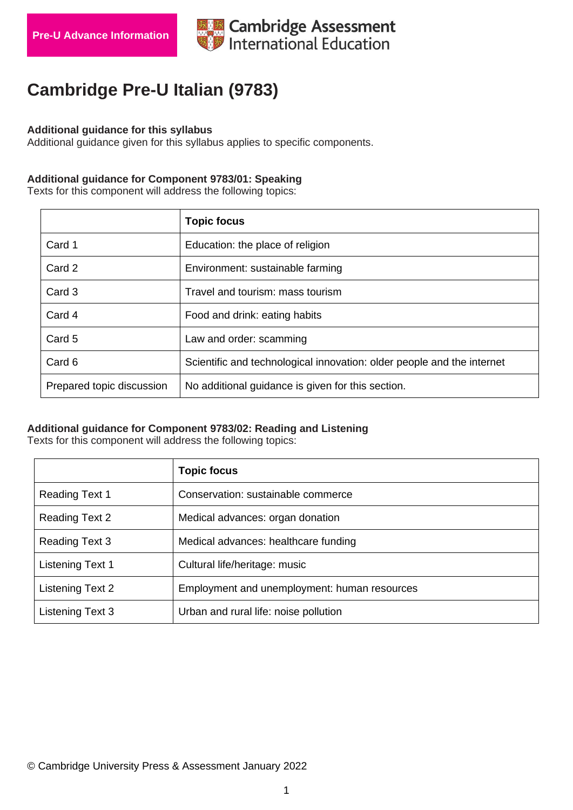

# **Cambridge Pre-U Italian (9783)**

#### **Additional guidance for this syllabus**

Additional guidance given for this syllabus applies to specific components.

# **Additional guidance for Component 9783/01: Speaking**

Texts for this component will address the following topics:

|                           | <b>Topic focus</b>                                                     |
|---------------------------|------------------------------------------------------------------------|
| Card 1                    | Education: the place of religion                                       |
| Card 2                    | Environment: sustainable farming                                       |
| Card 3                    | Travel and tourism: mass tourism                                       |
| Card 4                    | Food and drink: eating habits                                          |
| Card 5                    | Law and order: scamming                                                |
| Card 6                    | Scientific and technological innovation: older people and the internet |
| Prepared topic discussion | No additional guidance is given for this section.                      |

### **Additional guidance for Component 9783/02: Reading and Listening**

Texts for this component will address the following topics:

|                       | <b>Topic focus</b>                           |
|-----------------------|----------------------------------------------|
| <b>Reading Text 1</b> | Conservation: sustainable commerce           |
| <b>Reading Text 2</b> | Medical advances: organ donation             |
| <b>Reading Text 3</b> | Medical advances: healthcare funding         |
| Listening Text 1      | Cultural life/heritage: music                |
| Listening Text 2      | Employment and unemployment: human resources |
| Listening Text 3      | Urban and rural life: noise pollution        |